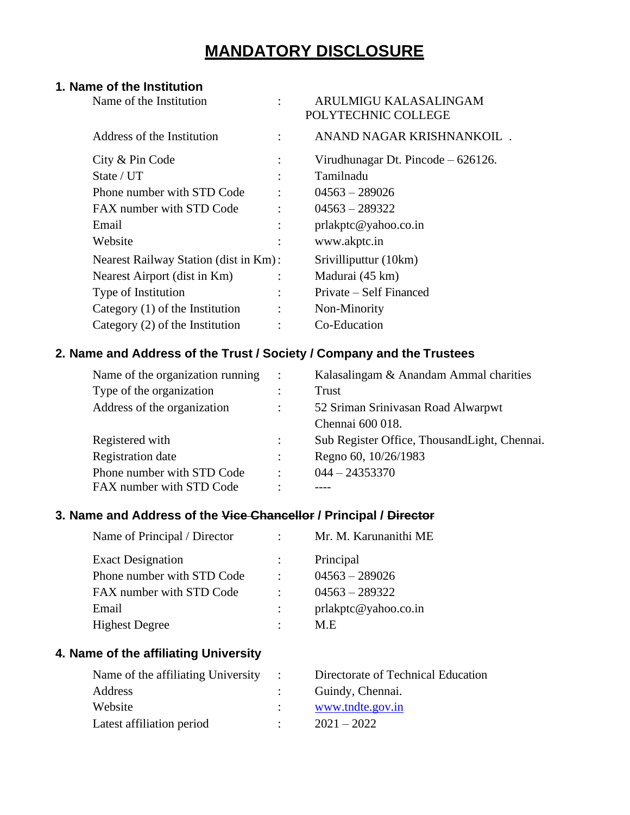# **MANDATORY DISCLOSURE**

## **1. Name of the Institution**

| Name of the Institution               | ARULMIGU KALASALINGAM<br>POLYTECHNIC COLLEGE |
|---------------------------------------|----------------------------------------------|
| Address of the Institution            | ANAND NAGAR KRISHNANKOIL.                    |
| City & Pin Code                       | Virudhunagar Dt. Pincode – 626126.           |
| State / UT                            | Tamilnadu                                    |
| Phone number with STD Code            | $04563 - 289026$                             |
| FAX number with STD Code              | $04563 - 289322$                             |
| Email                                 | prlakptc@yahoo.co.in                         |
| Website                               | www.akptc.in                                 |
| Nearest Railway Station (dist in Km): | Srivilliputtur (10km)                        |
| Nearest Airport (dist in Km)          | Madurai (45 km)                              |
| Type of Institution                   | Private – Self Financed                      |
| Category $(1)$ of the Institution     | Non-Minority                                 |
| Category $(2)$ of the Institution     | Co-Education                                 |
|                                       |                                              |

## **2. Name and Address of the Trust / Society / Company and the Trustees**

| Name of the organization running | $\ddot{\phantom{a}}$ | Kalasalingam & Anandam Ammal charities        |
|----------------------------------|----------------------|-----------------------------------------------|
| Type of the organization         |                      | Trust                                         |
| Address of the organization      | $\ddot{\cdot}$       | 52 Sriman Srinivasan Road Alwarpwt            |
|                                  |                      | Chennai 600 018.                              |
| Registered with                  | $\ddot{\cdot}$       | Sub Register Office, Thousand Light, Chennai. |
| <b>Registration</b> date         | $\ddot{\cdot}$       | Regno 60, 10/26/1983                          |
| Phone number with STD Code       | $\ddot{\cdot}$       | $044 - 24353370$                              |
| FAX number with STD Code         | ٠                    |                                               |

## **3. Name and Address of the Vice Chancellor / Principal / Director**

| Mr. M. Karunanithi ME |
|-----------------------|
| Principal             |
| $04563 - 289026$      |
| $04563 - 289322$      |
| prlakptc@yahoo.co.in  |
| M.E                   |
|                       |

## **4. Name of the affiliating University**

| Name of the affiliating University : | Directorate of Technical Education |
|--------------------------------------|------------------------------------|
| Address                              | Guindy, Chennai.                   |
| Website                              | www.tndte.gov.in                   |
| Latest affiliation period            | $2021 - 2022$                      |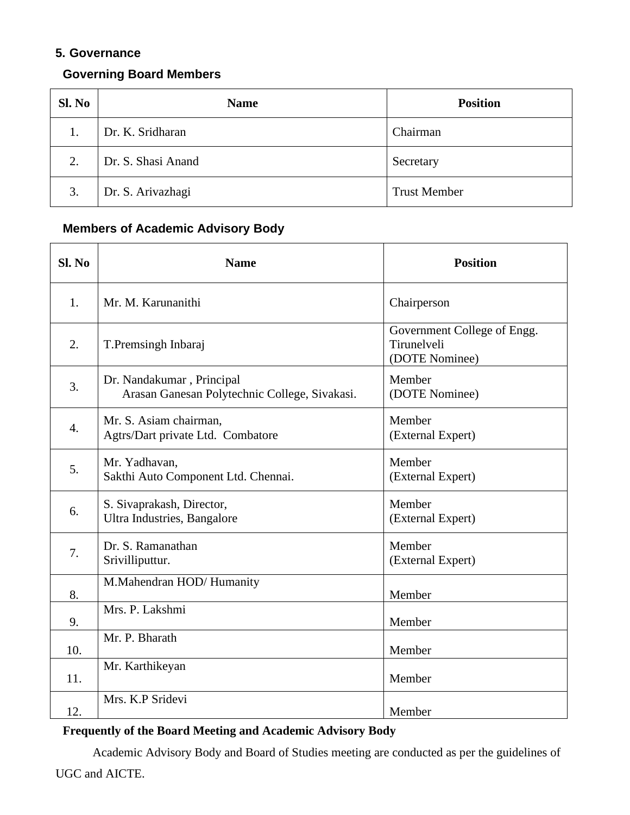## **5. Governance**

## **Governing Board Members**

| Sl. No | <b>Name</b>        | <b>Position</b>     |
|--------|--------------------|---------------------|
| 1.     | Dr. K. Sridharan   | Chairman            |
| 2.     | Dr. S. Shasi Anand | Secretary           |
| 3.     | Dr. S. Arivazhagi  | <b>Trust Member</b> |

## **Members of Academic Advisory Body**

| Sl. No           | <b>Name</b>                                                                | <b>Position</b>                                              |
|------------------|----------------------------------------------------------------------------|--------------------------------------------------------------|
| 1.               | Mr. M. Karunanithi                                                         | Chairperson                                                  |
| 2.               | T. Premsingh Inbaraj                                                       | Government College of Engg.<br>Tirunelveli<br>(DOTE Nominee) |
| 3.               | Dr. Nandakumar, Principal<br>Arasan Ganesan Polytechnic College, Sivakasi. | Member<br>(DOTE Nominee)                                     |
| $\overline{4}$ . | Mr. S. Asiam chairman,<br>Agtrs/Dart private Ltd. Combatore                | Member<br>(External Expert)                                  |
| 5.               | Mr. Yadhavan,<br>Sakthi Auto Component Ltd. Chennai.                       | Member<br>(External Expert)                                  |
| 6.               | S. Sivaprakash, Director,<br>Ultra Industries, Bangalore                   | Member<br>(External Expert)                                  |
| 7.               | Dr. S. Ramanathan<br>Srivilliputtur.                                       | Member<br>(External Expert)                                  |
| 8.               | M.Mahendran HOD/Humanity                                                   | Member                                                       |
| 9.               | Mrs. P. Lakshmi                                                            | Member                                                       |
| 10.              | Mr. P. Bharath                                                             | Member                                                       |
| 11.              | Mr. Karthikeyan                                                            | Member                                                       |
| 12.              | Mrs. K.P Sridevi                                                           | Member                                                       |

### **Frequently of the Board Meeting and Academic Advisory Body**

Academic Advisory Body and Board of Studies meeting are conducted as per the guidelines of UGC and AICTE.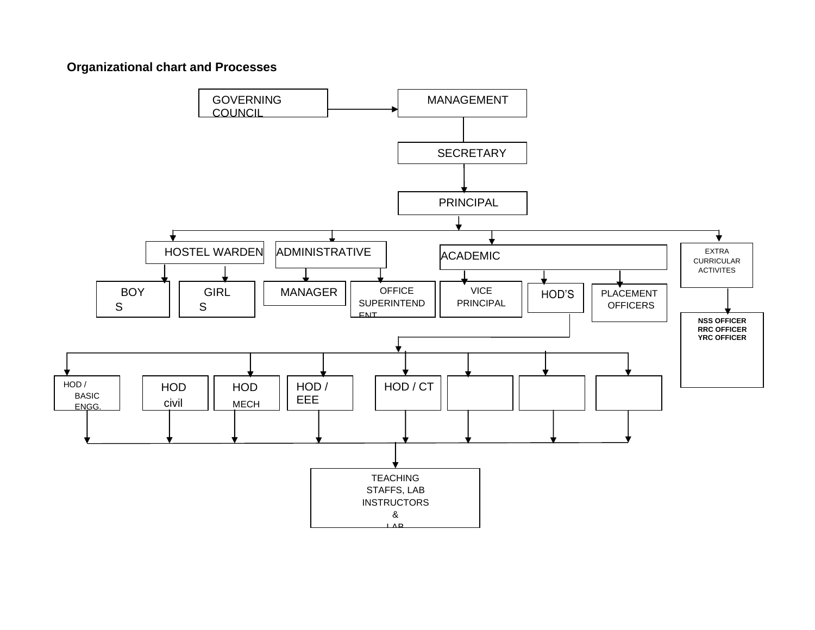## **Organizational chart and Processes**

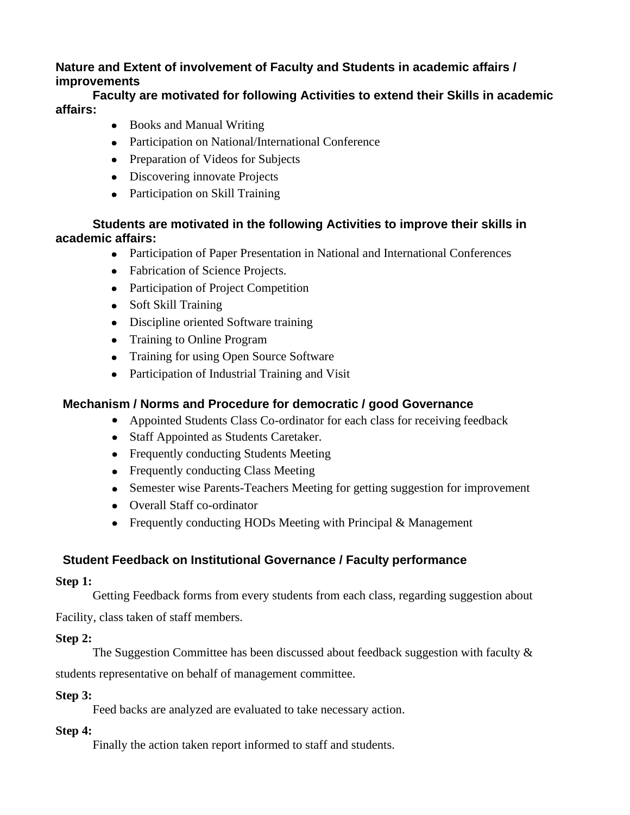## **Nature and Extent of involvement of Faculty and Students in academic affairs / improvements**

### **Faculty are motivated for following Activities to extend their Skills in academic affairs:**

- Books and Manual Writing
- Participation on National/International Conference
- Preparation of Videos for Subjects
- Discovering innovate Projects
- Participation on Skill Training

## **Students are motivated in the following Activities to improve their skills in academic affairs:**

- Participation of Paper Presentation in National and International Conferences
- Fabrication of Science Projects.
- Participation of Project Competition
- Soft Skill Training
- Discipline oriented Software training
- Training to Online Program
- Training for using Open Source Software
- Participation of Industrial Training and Visit

## **Mechanism / Norms and Procedure for democratic / good Governance**

- Appointed Students Class Co-ordinator for each class for receiving feedback
- Staff Appointed as Students Caretaker.
- Frequently conducting Students Meeting
- Frequently conducting Class Meeting
- Semester wise Parents-Teachers Meeting for getting suggestion for improvement
- Overall Staff co-ordinator
- Frequently conducting HODs Meeting with Principal  $&$  Management

## **Student Feedback on Institutional Governance / Faculty performance**

### **Step 1:**

Getting Feedback forms from every students from each class, regarding suggestion about

Facility, class taken of staff members.

## **Step 2:**

The Suggestion Committee has been discussed about feedback suggestion with faculty & students representative on behalf of management committee.

## **Step 3:**

Feed backs are analyzed are evaluated to take necessary action.

## **Step 4:**

Finally the action taken report informed to staff and students.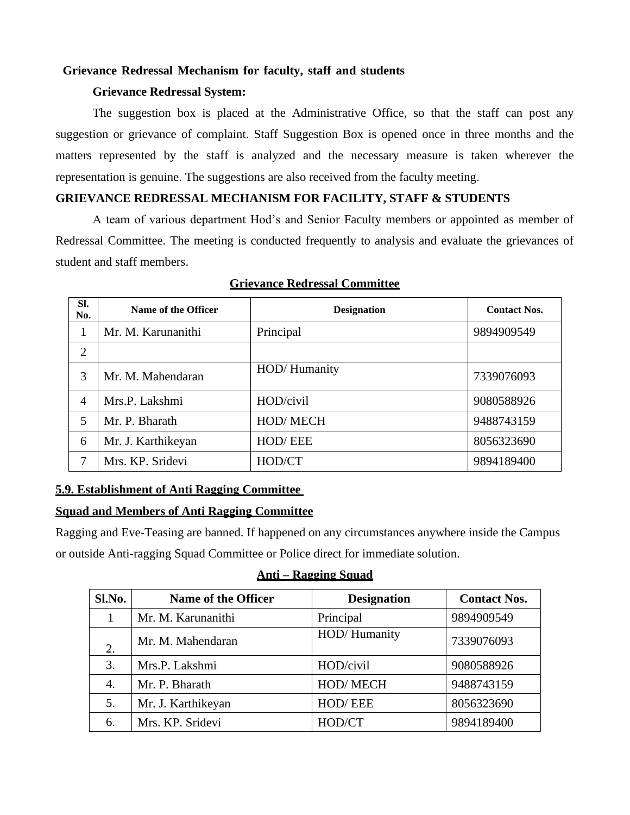#### **Grievance Redressal Mechanism for faculty, staff and students**

#### **Grievance Redressal System:**

The suggestion box is placed at the Administrative Office, so that the staff can post any suggestion or grievance of complaint. Staff Suggestion Box is opened once in three months and the matters represented by the staff is analyzed and the necessary measure is taken wherever the representation is genuine. The suggestions are also received from the faculty meeting.

#### **GRIEVANCE REDRESSAL MECHANISM FOR FACILITY, STAFF & STUDENTS**

A team of various department Hod's and Senior Faculty members or appointed as member of Redressal Committee. The meeting is conducted frequently to analysis and evaluate the grievances of student and staff members.

| SI.<br>No.     | Name of the Officer | <b>Designation</b> | <b>Contact Nos.</b> |
|----------------|---------------------|--------------------|---------------------|
|                | Mr. M. Karunanithi  | Principal          | 9894909549          |
| $\overline{2}$ |                     |                    |                     |
| 3              | Mr. M. Mahendaran   | HOD/Humanity       | 7339076093          |
| 4              | Mrs.P. Lakshmi      | HOD/civil          | 9080588926          |
| 5              | Mr. P. Bharath      | HOD/MECH           | 9488743159          |
| 6              | Mr. J. Karthikeyan  | HOD/EEE            | 8056323690          |
| 7              | Mrs. KP. Sridevi    | HOD/CT             | 9894189400          |

#### **Grievance Redressal Committee**

### **5.9. Establishment of Anti Ragging Committee**

#### **Squad and Members of Anti Ragging Committee**

Ragging and Eve-Teasing are banned. If happened on any circumstances anywhere inside the Campus or outside Anti-ragging Squad Committee or Police direct for immediate solution.

#### **Anti – Ragging Squad**

| Sl.No. | Name of the Officer | <b>Designation</b> | <b>Contact Nos.</b> |
|--------|---------------------|--------------------|---------------------|
|        | Mr. M. Karunanithi  | Principal          | 9894909549          |
| 2.     | Mr. M. Mahendaran   | HOD/Humanity       | 7339076093          |
| 3.     | Mrs.P. Lakshmi      | HOD/civil          | 9080588926          |
| 4.     | Mr. P. Bharath      | HOD/MECH           | 9488743159          |
| 5.     | Mr. J. Karthikeyan  | HOD/EEE            | 8056323690          |
| 6.     | Mrs. KP. Sridevi    | HOD/CT             | 9894189400          |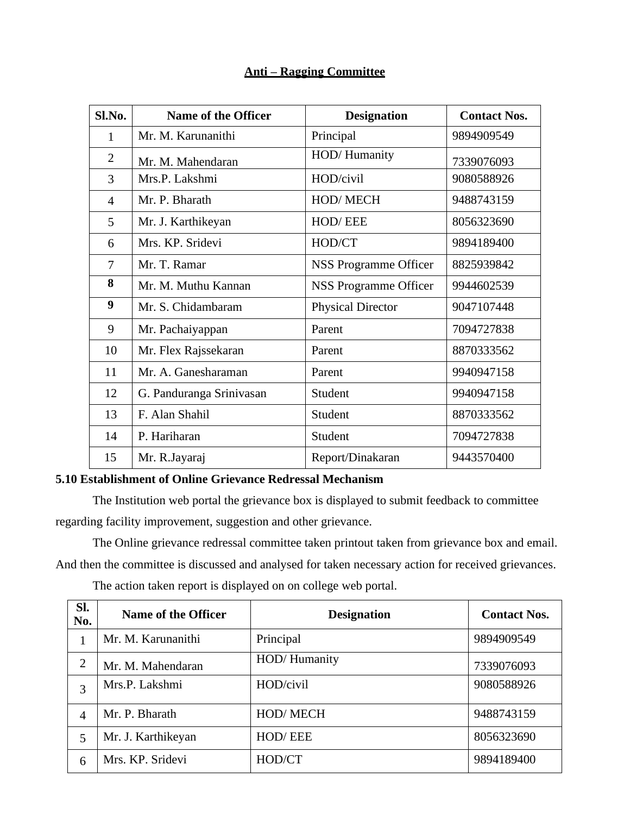#### **Anti – Ragging Committee**

| Sl.No. | <b>Name of the Officer</b> | <b>Designation</b>       | <b>Contact Nos.</b> |
|--------|----------------------------|--------------------------|---------------------|
| 1      | Mr. M. Karunanithi         | Principal                | 9894909549          |
| 2      | Mr. M. Mahendaran          | HOD/Humanity             | 7339076093          |
| 3      | Mrs.P. Lakshmi             | HOD/civil                | 9080588926          |
| 4      | Mr. P. Bharath             | <b>HOD/MECH</b>          | 9488743159          |
| 5      | Mr. J. Karthikeyan         | HOD/EEE                  | 8056323690          |
| 6      | Mrs. KP. Sridevi           | HOD/CT                   | 9894189400          |
| 7      | Mr. T. Ramar               | NSS Programme Officer    | 8825939842          |
| 8      | Mr. M. Muthu Kannan        | NSS Programme Officer    | 9944602539          |
| 9      | Mr. S. Chidambaram         | <b>Physical Director</b> | 9047107448          |
| 9      | Mr. Pachaiyappan           | Parent                   | 7094727838          |
| 10     | Mr. Flex Rajssekaran       | Parent                   | 8870333562          |
| 11     | Mr. A. Ganesharaman        | Parent                   | 9940947158          |
| 12     | G. Panduranga Srinivasan   | Student                  | 9940947158          |
| 13     | F. Alan Shahil             | Student                  | 8870333562          |
| 14     | P. Hariharan               | Student                  | 7094727838          |
| 15     | Mr. R.Jayaraj              | Report/Dinakaran         | 9443570400          |

#### **5.10 Establishment of Online Grievance Redressal Mechanism**

The Institution web portal the grievance box is displayed to submit feedback to committee regarding facility improvement, suggestion and other grievance.

The Online grievance redressal committee taken printout taken from grievance box and email. And then the committee is discussed and analysed for taken necessary action for received grievances.

The action taken report is displayed on on college web portal.

| SI.<br>No.     | <b>Name of the Officer</b> | <b>Designation</b> | <b>Contact Nos.</b> |
|----------------|----------------------------|--------------------|---------------------|
|                | Mr. M. Karunanithi         | Principal          | 9894909549          |
| $\overline{2}$ | Mr. M. Mahendaran          | HOD/Humanity       | 7339076093          |
| 3              | Mrs.P. Lakshmi             | HOD/civil          | 9080588926          |
| 4              | Mr. P. Bharath             | <b>HOD/MECH</b>    | 9488743159          |
| 5              | Mr. J. Karthikeyan         | HOD/EEE            | 8056323690          |
| 6              | Mrs. KP. Sridevi           | HOD/CT             | 9894189400          |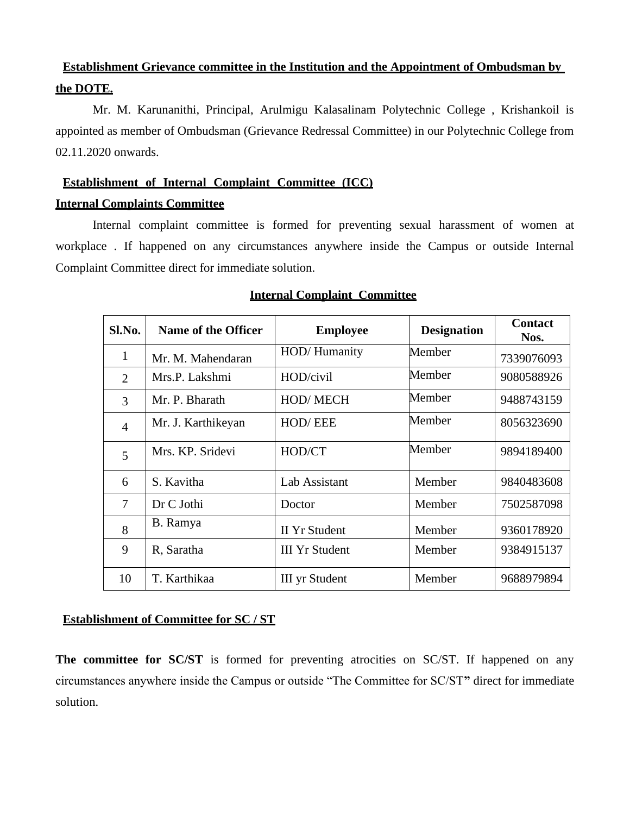## **Establishment Grievance committee in the Institution and the Appointment of Ombudsman by the DOTE.**

Mr. M. Karunanithi, Principal, Arulmigu Kalasalinam Polytechnic College , Krishankoil is appointed as member of Ombudsman (Grievance Redressal Committee) in our Polytechnic College from 02.11.2020 onwards.

#### **Establishment of Internal Complaint Committee (ICC)**

#### **Internal Complaints Committee**

Internal complaint committee is formed for preventing sexual harassment of women at workplace . If happened on any circumstances anywhere inside the Campus or outside Internal Complaint Committee direct for immediate solution.

| Sl.No.         | <b>Name of the Officer</b> | <b>Employee</b>       | <b>Designation</b> | <b>Contact</b><br>Nos. |
|----------------|----------------------------|-----------------------|--------------------|------------------------|
| $\mathbf{1}$   | Mr. M. Mahendaran          | HOD/Humanity          | Member             | 7339076093             |
| 2              | Mrs.P. Lakshmi             | HOD/civil             | Member             | 9080588926             |
| 3              | Mr. P. Bharath             | <b>HOD/MECH</b>       | Member             | 9488743159             |
| $\overline{4}$ | Mr. J. Karthikeyan         | <b>HOD/EEE</b>        | Member             | 8056323690             |
| 5              | Mrs. KP. Sridevi           | HOD/CT                | Member             | 9894189400             |
| 6              | S. Kavitha                 | Lab Assistant         | Member             | 9840483608             |
| $\overline{7}$ | Dr C Jothi                 | Doctor                | Member             | 7502587098             |
| 8              | B. Ramya                   | <b>II Yr Student</b>  | Member             | 9360178920             |
| 9              | R, Saratha                 | <b>III</b> Yr Student | Member             | 9384915137             |
| 10             | T. Karthikaa               | <b>III</b> yr Student | Member             | 9688979894             |

#### **Internal Complaint Committee**

### **Establishment of Committee for SC / ST**

The committee for SC/ST is formed for preventing atrocities on SC/ST. If happened on any circumstances anywhere inside the Campus or outside "The Committee for SC/ST**"** direct for immediate solution.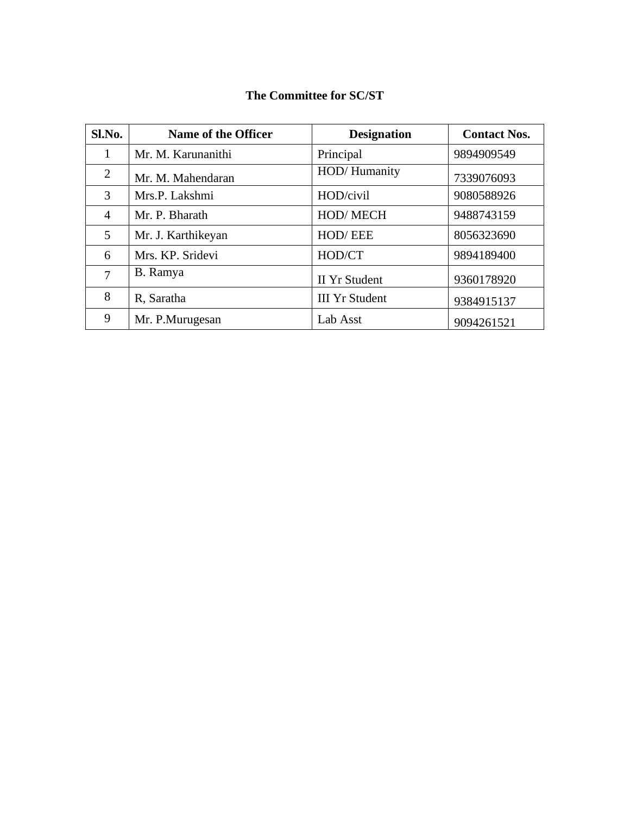## **The Committee for SC/ST**

| Sl.No.         | <b>Name of the Officer</b> | <b>Designation</b>    | <b>Contact Nos.</b> |
|----------------|----------------------------|-----------------------|---------------------|
|                | Mr. M. Karunanithi         | Principal             | 9894909549          |
| 2              | Mr. M. Mahendaran          | HOD/Humanity          | 7339076093          |
| 3              | Mrs.P. Lakshmi             | HOD/civil             | 9080588926          |
| $\overline{4}$ | Mr. P. Bharath             | HOD/MECH              | 9488743159          |
| 5              | Mr. J. Karthikeyan         | HOD/EEE               | 8056323690          |
| 6              | Mrs. KP. Sridevi           | HOD/CT                | 9894189400          |
| 7              | B. Ramya                   | <b>II Yr Student</b>  | 9360178920          |
| 8              | R, Saratha                 | <b>III Yr Student</b> | 9384915137          |
| 9              | Mr. P.Murugesan            | Lab Asst              | 9094261521          |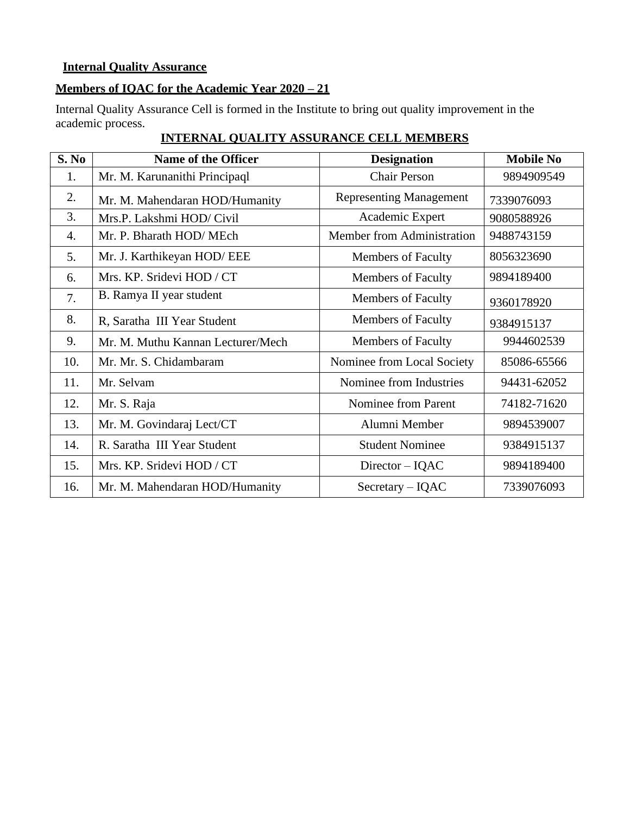#### **Internal Quality Assurance**

## **Members of IQAC for the Academic Year 2020 – 21**

Internal Quality Assurance Cell is formed in the Institute to bring out quality improvement in the academic process.

| S. No | Name of the Officer               | <b>Designation</b>             | <b>Mobile No</b> |
|-------|-----------------------------------|--------------------------------|------------------|
| 1.    | Mr. M. Karunanithi Principaql     | <b>Chair Person</b>            | 9894909549       |
| 2.    | Mr. M. Mahendaran HOD/Humanity    | <b>Representing Management</b> | 7339076093       |
| 3.    | Mrs.P. Lakshmi HOD/ Civil         | Academic Expert                | 9080588926       |
| 4.    | Mr. P. Bharath HOD/MEch           | Member from Administration     | 9488743159       |
| 5.    | Mr. J. Karthikeyan HOD/ EEE       | <b>Members of Faculty</b>      | 8056323690       |
| 6.    | Mrs. KP. Sridevi HOD / CT         | <b>Members of Faculty</b>      | 9894189400       |
| 7.    | B. Ramya II year student          | <b>Members of Faculty</b>      | 9360178920       |
| 8.    | R, Saratha III Year Student       | <b>Members of Faculty</b>      | 9384915137       |
| 9.    | Mr. M. Muthu Kannan Lecturer/Mech | <b>Members of Faculty</b>      | 9944602539       |
| 10.   | Mr. Mr. S. Chidambaram            | Nominee from Local Society     | 85086-65566      |
| 11.   | Mr. Selvam                        | Nominee from Industries        | 94431-62052      |
| 12.   | Mr. S. Raja                       | Nominee from Parent            | 74182-71620      |
| 13.   | Mr. M. Govindaraj Lect/CT         | Alumni Member                  | 9894539007       |
| 14.   | R. Saratha III Year Student       | <b>Student Nominee</b>         | 9384915137       |
| 15.   | Mrs. KP. Sridevi HOD / CT         | $Directory - IQAC$             | 9894189400       |
| 16.   | Mr. M. Mahendaran HOD/Humanity    | $Sercetary - IQAC$             | 7339076093       |

## **INTERNAL QUALITY ASSURANCE CELL MEMBERS**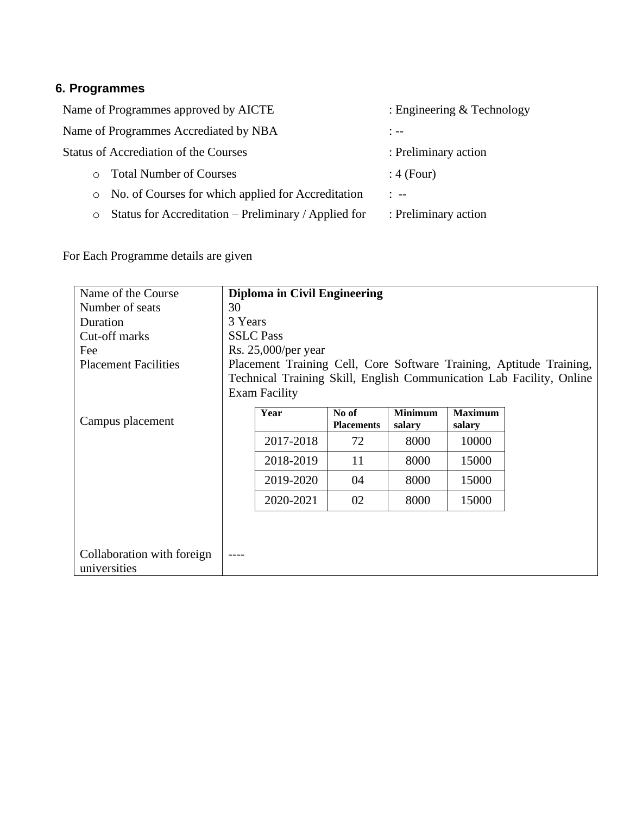## **6. Programmes**

| Name of Programmes approved by AICTE                            | : Engineering $&$ Technology |
|-----------------------------------------------------------------|------------------------------|
| Name of Programmes Accrediated by NBA                           | $\frac{1}{2}$ $\frac{1}{2}$  |
| <b>Status of Accrediation of the Courses</b>                    | : Preliminary action         |
| <b>Total Number of Courses</b><br>$\circ$                       | $: 4$ (Four)                 |
| No. of Courses for which applied for Accreditation<br>$\circ$   | $1 - -$                      |
| Status for Accreditation – Preliminary / Applied for<br>$\circ$ | : Preliminary action         |

For Each Programme details are given

| Name of the Course          |         | Diploma in Civil Engineering |                   |                |                |                                                                      |  |  |  |  |  |
|-----------------------------|---------|------------------------------|-------------------|----------------|----------------|----------------------------------------------------------------------|--|--|--|--|--|
| Number of seats             | 30      |                              |                   |                |                |                                                                      |  |  |  |  |  |
| Duration                    | 3 Years |                              |                   |                |                |                                                                      |  |  |  |  |  |
| Cut-off marks               |         | <b>SSLC</b> Pass             |                   |                |                |                                                                      |  |  |  |  |  |
| Fee                         |         | Rs. $25,000$ /per year       |                   |                |                |                                                                      |  |  |  |  |  |
| <b>Placement Facilities</b> |         |                              |                   |                |                | Placement Training Cell, Core Software Training, Aptitude Training,  |  |  |  |  |  |
|                             |         |                              |                   |                |                | Technical Training Skill, English Communication Lab Facility, Online |  |  |  |  |  |
|                             |         | <b>Exam Facility</b>         |                   |                |                |                                                                      |  |  |  |  |  |
|                             |         | Year                         | No of             | <b>Minimum</b> | <b>Maximum</b> |                                                                      |  |  |  |  |  |
| Campus placement            |         |                              | <b>Placements</b> | salary         | salary         |                                                                      |  |  |  |  |  |
|                             |         | 2017-2018                    | 72                | 8000           | 10000          |                                                                      |  |  |  |  |  |
|                             |         | 2018-2019                    | 11                | 8000           | 15000          |                                                                      |  |  |  |  |  |
|                             |         | 2019-2020                    | 04                | 8000           | 15000          |                                                                      |  |  |  |  |  |
|                             |         | 2020-2021                    | 02                | 8000           | 15000          |                                                                      |  |  |  |  |  |
|                             |         |                              |                   |                |                |                                                                      |  |  |  |  |  |
|                             |         |                              |                   |                |                |                                                                      |  |  |  |  |  |
| Collaboration with foreign  |         |                              |                   |                |                |                                                                      |  |  |  |  |  |
| universities                |         |                              |                   |                |                |                                                                      |  |  |  |  |  |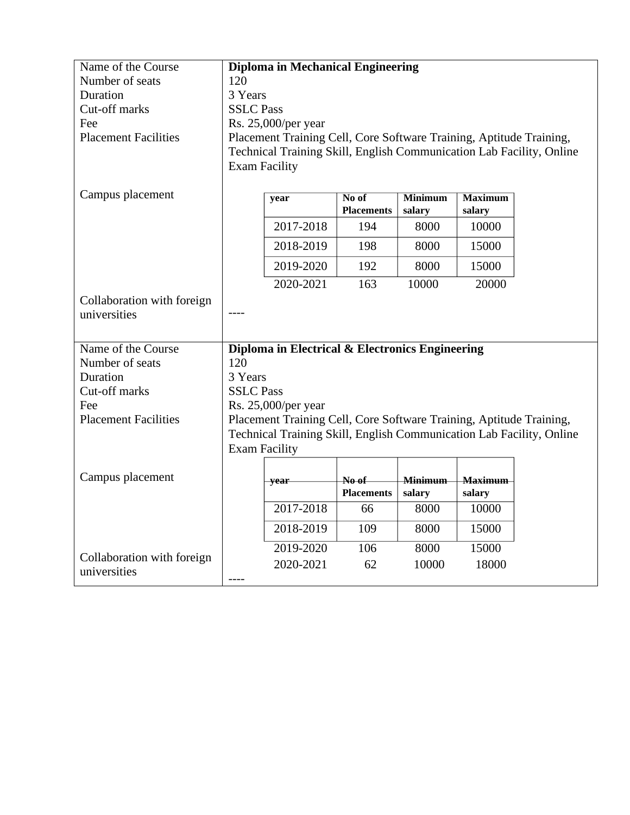| Name of the Course                                                                                             |                      | <b>Diploma in Mechanical Engineering</b>                             |       |                |                |  |  |  |  |  |  |  |
|----------------------------------------------------------------------------------------------------------------|----------------------|----------------------------------------------------------------------|-------|----------------|----------------|--|--|--|--|--|--|--|
| Number of seats                                                                                                | 120                  |                                                                      |       |                |                |  |  |  |  |  |  |  |
| Duration                                                                                                       | 3 Years              |                                                                      |       |                |                |  |  |  |  |  |  |  |
| Cut-off marks                                                                                                  |                      | <b>SSLC Pass</b>                                                     |       |                |                |  |  |  |  |  |  |  |
| Fee                                                                                                            |                      | Rs. 25,000/per year                                                  |       |                |                |  |  |  |  |  |  |  |
| <b>Placement Facilities</b>                                                                                    |                      | Placement Training Cell, Core Software Training, Aptitude Training,  |       |                |                |  |  |  |  |  |  |  |
|                                                                                                                |                      | Technical Training Skill, English Communication Lab Facility, Online |       |                |                |  |  |  |  |  |  |  |
|                                                                                                                | <b>Exam Facility</b> |                                                                      |       |                |                |  |  |  |  |  |  |  |
|                                                                                                                |                      |                                                                      |       |                |                |  |  |  |  |  |  |  |
| Campus placement<br>No of<br><b>Minimum</b><br><b>Maximum</b><br>year<br><b>Placements</b><br>salary<br>salary |                      |                                                                      |       |                |                |  |  |  |  |  |  |  |
|                                                                                                                |                      | 2017-2018                                                            | 194   | 8000           | 10000          |  |  |  |  |  |  |  |
|                                                                                                                |                      | 2018-2019                                                            | 198   | 8000           | 15000          |  |  |  |  |  |  |  |
|                                                                                                                |                      | 2019-2020                                                            | 192   | 8000           | 15000          |  |  |  |  |  |  |  |
|                                                                                                                |                      | 2020-2021                                                            | 163   | 10000          | 20000          |  |  |  |  |  |  |  |
| Collaboration with foreign                                                                                     |                      |                                                                      |       |                |                |  |  |  |  |  |  |  |
| universities                                                                                                   |                      |                                                                      |       |                |                |  |  |  |  |  |  |  |
|                                                                                                                |                      |                                                                      |       |                |                |  |  |  |  |  |  |  |
| Name of the Course                                                                                             |                      | Diploma in Electrical & Electronics Engineering                      |       |                |                |  |  |  |  |  |  |  |
| Number of seats                                                                                                | 120                  |                                                                      |       |                |                |  |  |  |  |  |  |  |
| Duration                                                                                                       | 3 Years              |                                                                      |       |                |                |  |  |  |  |  |  |  |
| Cut-off marks                                                                                                  | <b>SSLC Pass</b>     |                                                                      |       |                |                |  |  |  |  |  |  |  |
| Fee                                                                                                            |                      | Rs. 25,000/per year                                                  |       |                |                |  |  |  |  |  |  |  |
| <b>Placement Facilities</b>                                                                                    |                      | Placement Training Cell, Core Software Training, Aptitude Training,  |       |                |                |  |  |  |  |  |  |  |
|                                                                                                                |                      | Technical Training Skill, English Communication Lab Facility, Online |       |                |                |  |  |  |  |  |  |  |
|                                                                                                                | <b>Exam Facility</b> |                                                                      |       |                |                |  |  |  |  |  |  |  |
|                                                                                                                |                      |                                                                      |       |                |                |  |  |  |  |  |  |  |
| Campus placement                                                                                               |                      | year                                                                 | No of | <b>Minimum</b> | <b>Maximum</b> |  |  |  |  |  |  |  |
|                                                                                                                |                      | <b>Placements</b><br>salary<br>salary                                |       |                |                |  |  |  |  |  |  |  |
|                                                                                                                |                      | 2017-2018<br>8000<br>10000<br>66                                     |       |                |                |  |  |  |  |  |  |  |
|                                                                                                                |                      | 2018-2019                                                            | 109   | 8000           | 15000          |  |  |  |  |  |  |  |
|                                                                                                                |                      | 2019-2020                                                            | 106   | 8000           | 15000          |  |  |  |  |  |  |  |
| Collaboration with foreign<br>universities                                                                     |                      |                                                                      |       |                |                |  |  |  |  |  |  |  |
|                                                                                                                |                      | 2020-2021<br>62<br>18000<br>10000                                    |       |                |                |  |  |  |  |  |  |  |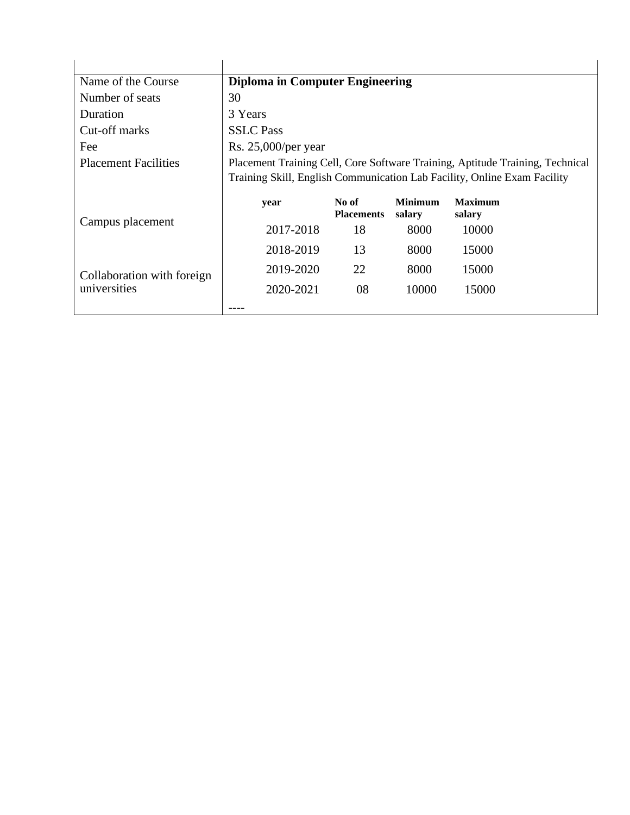| Name of the Course                         | <b>Diploma in Computer Engineering</b> |                                                                               |                          |                                                                          |  |  |  |  |  |  |  |
|--------------------------------------------|----------------------------------------|-------------------------------------------------------------------------------|--------------------------|--------------------------------------------------------------------------|--|--|--|--|--|--|--|
| Number of seats                            | 30                                     |                                                                               |                          |                                                                          |  |  |  |  |  |  |  |
| Duration                                   | 3 Years                                |                                                                               |                          |                                                                          |  |  |  |  |  |  |  |
| Cut-off marks                              | <b>SSLC</b> Pass                       |                                                                               |                          |                                                                          |  |  |  |  |  |  |  |
| Fee                                        | Rs. 25,000/per year                    |                                                                               |                          |                                                                          |  |  |  |  |  |  |  |
| <b>Placement Facilities</b>                |                                        | Placement Training Cell, Core Software Training, Aptitude Training, Technical |                          |                                                                          |  |  |  |  |  |  |  |
|                                            |                                        |                                                                               |                          | Training Skill, English Communication Lab Facility, Online Exam Facility |  |  |  |  |  |  |  |
|                                            |                                        |                                                                               |                          |                                                                          |  |  |  |  |  |  |  |
|                                            | year                                   | No of<br><b>Placements</b>                                                    | <b>Minimum</b><br>salary | <b>Maximum</b><br>salary                                                 |  |  |  |  |  |  |  |
| Campus placement                           | 2017-2018                              | 18                                                                            | 8000                     | 10000                                                                    |  |  |  |  |  |  |  |
|                                            | 2018-2019                              | 13                                                                            | 8000                     | 15000                                                                    |  |  |  |  |  |  |  |
|                                            | 2019-2020                              | 22                                                                            | 8000                     | 15000                                                                    |  |  |  |  |  |  |  |
| Collaboration with foreign<br>universities | 2020-2021                              | 08                                                                            | 10000                    | 15000                                                                    |  |  |  |  |  |  |  |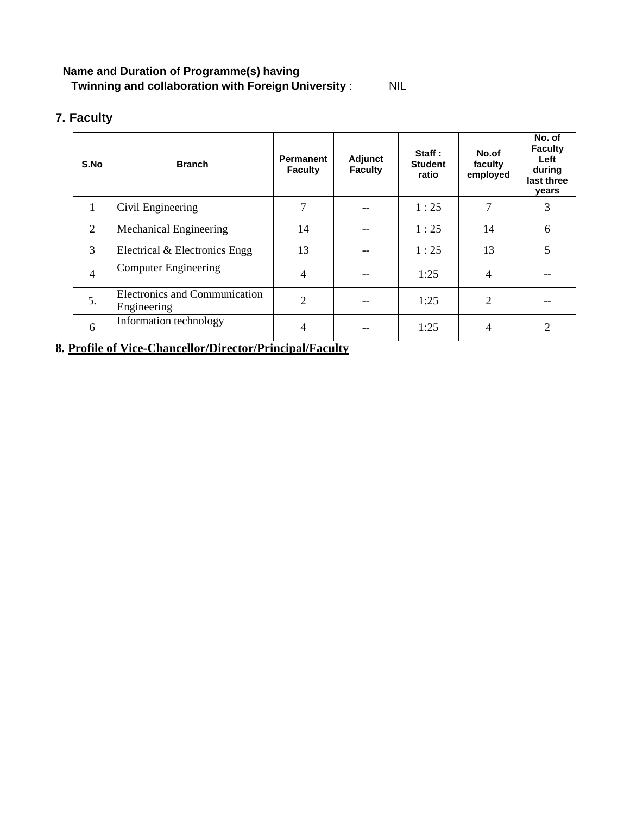## **Name and Duration of Programme(s) having Twinning and collaboration with Foreign University** : NIL

## **7. Faculty**

| S.No           | <b>Branch</b>                                | <b>Permanent</b><br><b>Faculty</b> | Adjunct<br><b>Faculty</b> | Staff:<br><b>Student</b><br>ratio | No.of<br>faculty<br>employed | No. of<br><b>Faculty</b><br>Left<br>during<br>last three<br>years |
|----------------|----------------------------------------------|------------------------------------|---------------------------|-----------------------------------|------------------------------|-------------------------------------------------------------------|
| $\mathbf{1}$   | Civil Engineering                            | 7                                  |                           | 1:25                              | 7                            | 3                                                                 |
| 2              | Mechanical Engineering                       | 14                                 |                           | 1:25                              | 14                           | 6                                                                 |
| 3              | Electrical & Electronics Engg                | 13                                 |                           | 1:25                              | 13                           | 5                                                                 |
| $\overline{4}$ | <b>Computer Engineering</b>                  | $\overline{4}$                     |                           | 1:25                              | $\overline{4}$               |                                                                   |
| 5.             | Electronics and Communication<br>Engineering | $\overline{2}$                     |                           | 1:25                              | $\overline{2}$               |                                                                   |
| 6              | Information technology                       | 4                                  |                           | 1:25                              | 4                            | 2                                                                 |

**8. Profile of Vice-Chancellor/Director/Principal/Faculty**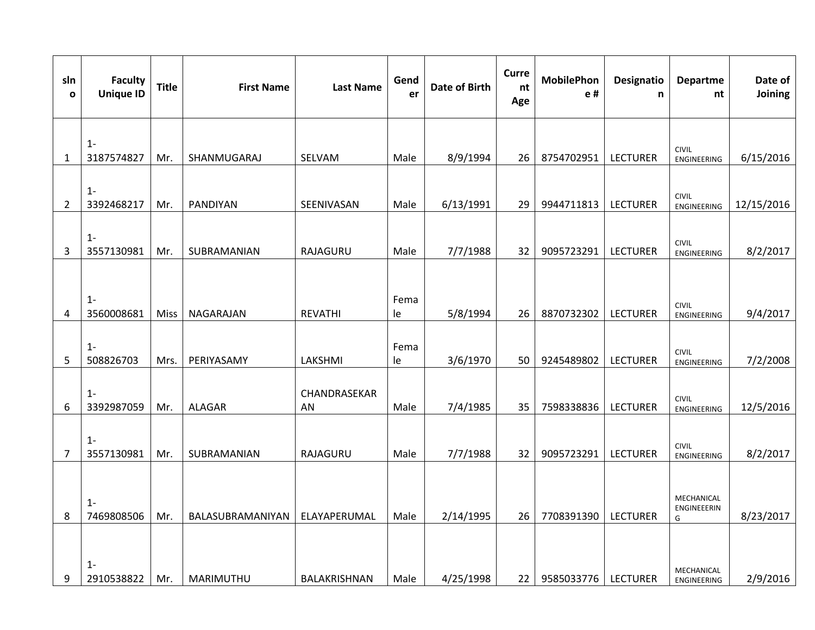| sln<br>$\mathbf 0$ | <b>Faculty</b><br><b>Unique ID</b> | <b>Title</b> | <b>First Name</b> | <b>Last Name</b>   | Gend<br>er | <b>Date of Birth</b> | Curre<br>nt<br>Age | <b>MobilePhon</b><br>e# | <b>Designatio</b><br>n | <b>Departme</b><br>nt              | Date of<br>Joining |
|--------------------|------------------------------------|--------------|-------------------|--------------------|------------|----------------------|--------------------|-------------------------|------------------------|------------------------------------|--------------------|
|                    |                                    |              |                   |                    |            |                      |                    |                         |                        |                                    |                    |
| $\mathbf{1}$       | $1 -$<br>3187574827                | Mr.          | SHANMUGARAJ       | SELVAM             | Male       | 8/9/1994             | 26                 | 8754702951              | <b>LECTURER</b>        | <b>CIVIL</b><br><b>ENGINEERING</b> | 6/15/2016          |
|                    |                                    |              |                   |                    |            |                      |                    |                         |                        |                                    |                    |
| $\overline{2}$     | $1 -$<br>3392468217                | Mr.          | PANDIYAN          | SEENIVASAN         | Male       | 6/13/1991            | 29                 | 9944711813              | <b>LECTURER</b>        | <b>CIVIL</b><br>ENGINEERING        | 12/15/2016         |
|                    |                                    |              |                   |                    |            |                      |                    |                         |                        |                                    |                    |
| 3                  | $1 -$<br>3557130981                | Mr.          | SUBRAMANIAN       | RAJAGURU           | Male       | 7/7/1988             | 32                 | 9095723291              | <b>LECTURER</b>        | <b>CIVIL</b><br><b>ENGINEERING</b> | 8/2/2017           |
|                    |                                    |              |                   |                    |            |                      |                    |                         |                        |                                    |                    |
|                    | $1 -$                              |              |                   |                    | Fema       |                      |                    |                         |                        |                                    |                    |
| 4                  | 3560008681                         | Miss         | NAGARAJAN         | REVATHI            | le         | 5/8/1994             | 26                 | 8870732302              | <b>LECTURER</b>        | <b>CIVIL</b><br>ENGINEERING        | 9/4/2017           |
|                    |                                    |              |                   |                    |            |                      |                    |                         |                        |                                    |                    |
| 5                  | $1 -$<br>508826703                 | Mrs.         | PERIYASAMY        | LAKSHMI            | Fema<br>le | 3/6/1970             | 50                 | 9245489802              | <b>LECTURER</b>        | <b>CIVIL</b><br><b>ENGINEERING</b> | 7/2/2008           |
|                    |                                    |              |                   |                    |            |                      |                    |                         |                        |                                    |                    |
| 6                  | $1 -$<br>3392987059                | Mr.          | ALAGAR            | CHANDRASEKAR<br>AN | Male       | 7/4/1985             | 35                 | 7598338836              | <b>LECTURER</b>        | <b>CIVIL</b><br>ENGINEERING        | 12/5/2016          |
|                    |                                    |              |                   |                    |            |                      |                    |                         |                        |                                    |                    |
| $\overline{7}$     | $1 -$<br>3557130981                | Mr.          | SUBRAMANIAN       | RAJAGURU           | Male       | 7/7/1988             | 32                 | 9095723291              | <b>LECTURER</b>        | <b>CIVIL</b><br><b>ENGINEERING</b> | 8/2/2017           |
|                    |                                    |              |                   |                    |            |                      |                    |                         |                        |                                    |                    |
|                    |                                    |              |                   |                    |            |                      |                    |                         |                        | MECHANICAL                         |                    |
| 8                  | $1 -$<br>7469808506                | Mr.          | BALASUBRAMANIYAN  | ELAYAPERUMAL       | Male       | 2/14/1995            | 26                 | 7708391390              | <b>LECTURER</b>        | ENGINEEERIN<br>G                   | 8/23/2017          |
|                    |                                    |              |                   |                    |            |                      |                    |                         |                        |                                    |                    |
|                    | $1 -$                              |              |                   |                    |            |                      |                    |                         |                        |                                    |                    |
| 9                  | 2910538822                         | Mr.          | MARIMUTHU         | BALAKRISHNAN       | Male       | 4/25/1998            | 22                 | 9585033776              | <b>LECTURER</b>        | MECHANICAL<br><b>ENGINEERING</b>   | 2/9/2016           |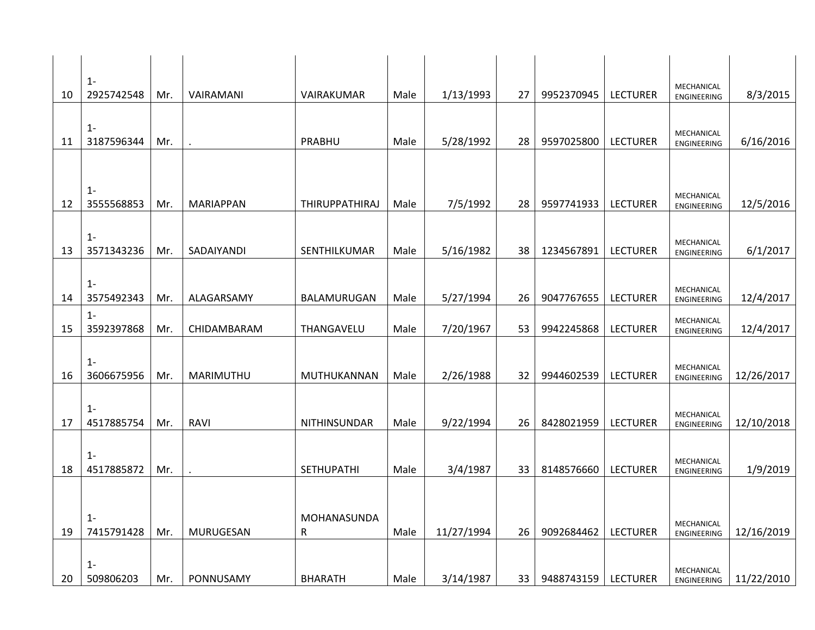|    | $1 -$               |     |                  |                   |      |            |                 |            |                 |                           |            |
|----|---------------------|-----|------------------|-------------------|------|------------|-----------------|------------|-----------------|---------------------------|------------|
| 10 | 2925742548          | Mr. | VAIRAMANI        | VAIRAKUMAR        | Male | 1/13/1993  | 27              | 9952370945 | <b>LECTURER</b> | MECHANICAL<br>ENGINEERING | 8/3/2015   |
|    | $1 -$               |     |                  |                   |      |            |                 |            |                 |                           |            |
| 11 | 3187596344          | Mr. |                  | PRABHU            | Male | 5/28/1992  | 28              | 9597025800 | <b>LECTURER</b> | MECHANICAL<br>ENGINEERING | 6/16/2016  |
|    |                     |     |                  |                   |      |            |                 |            |                 |                           |            |
|    | $1 -$               |     |                  |                   |      |            |                 |            |                 | MECHANICAL                |            |
| 12 | 3555568853          | Mr. | <b>MARIAPPAN</b> | THIRUPPATHIRAJ    | Male | 7/5/1992   | 28              | 9597741933 | <b>LECTURER</b> | ENGINEERING               | 12/5/2016  |
|    | $1 -$               |     |                  |                   |      |            |                 |            |                 | MECHANICAL                |            |
| 13 | 3571343236          | Mr. | SADAIYANDI       | SENTHILKUMAR      | Male | 5/16/1982  | 38              | 1234567891 | <b>LECTURER</b> | ENGINEERING               | 6/1/2017   |
|    | $1 -$               |     |                  |                   |      |            |                 |            |                 |                           |            |
| 14 | 3575492343          | Mr. | ALAGARSAMY       | BALAMURUGAN       | Male | 5/27/1994  | 26              | 9047767655 | <b>LECTURER</b> | MECHANICAL<br>ENGINEERING | 12/4/2017  |
| 15 | $1 -$<br>3592397868 | Mr. | CHIDAMBARAM      | THANGAVELU        | Male | 7/20/1967  | 53              | 9942245868 | <b>LECTURER</b> | MECHANICAL<br>ENGINEERING | 12/4/2017  |
|    |                     |     |                  |                   |      |            |                 |            |                 |                           |            |
| 16 | $1 -$<br>3606675956 | Mr. | MARIMUTHU        | MUTHUKANNAN       | Male | 2/26/1988  | 32              | 9944602539 | <b>LECTURER</b> | MECHANICAL<br>ENGINEERING | 12/26/2017 |
|    |                     |     |                  |                   |      |            |                 |            |                 |                           |            |
| 17 | $1 -$<br>4517885754 | Mr. | <b>RAVI</b>      | NITHINSUNDAR      | Male | 9/22/1994  | 26              | 8428021959 | <b>LECTURER</b> | MECHANICAL<br>ENGINEERING | 12/10/2018 |
|    |                     |     |                  |                   |      |            |                 |            |                 |                           |            |
| 18 | $1 -$<br>4517885872 | Mr. |                  | <b>SETHUPATHI</b> | Male | 3/4/1987   | 33              | 8148576660 | <b>LECTURER</b> | MECHANICAL<br>ENGINEERING | 1/9/2019   |
|    |                     |     |                  |                   |      |            |                 |            |                 |                           |            |
|    | $1 -$               |     |                  | MOHANASUNDA       |      |            |                 |            |                 |                           |            |
| 19 | 7415791428          | Mr. | MURUGESAN        | ${\sf R}$         | Male | 11/27/1994 | 26              | 9092684462 | <b>LECTURER</b> | MECHANICAL<br>ENGINEERING | 12/16/2019 |
|    | $1 -$               |     |                  |                   |      |            |                 |            |                 |                           |            |
| 20 | 509806203           | Mr. | PONNUSAMY        | <b>BHARATH</b>    | Male | 3/14/1987  | 33 <sup>1</sup> | 9488743159 | <b>LECTURER</b> | MECHANICAL<br>ENGINEERING | 11/22/2010 |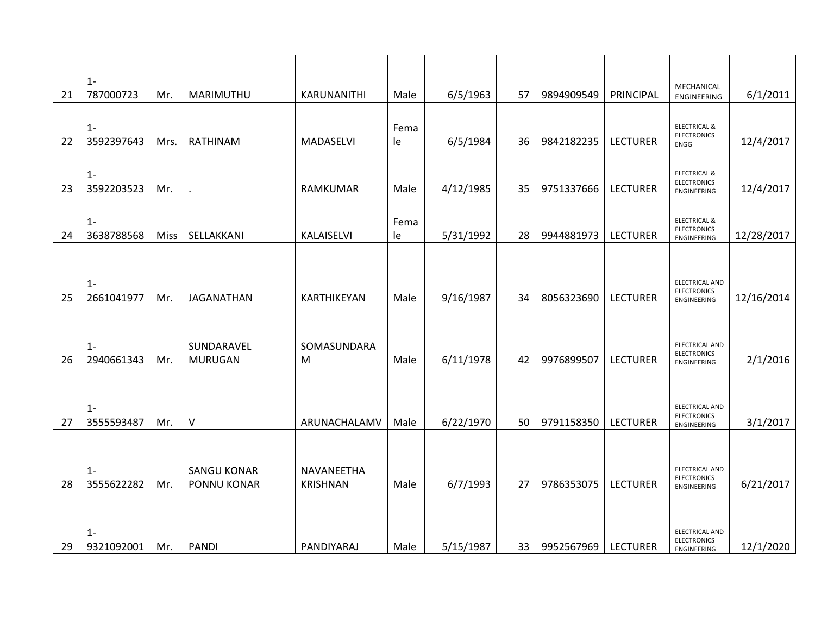| 21 | $1 -$<br>787000723  | Mr.  | MARIMUTHU                                | KARUNANITHI                   | Male       | 6/5/1963  | 57 | 9894909549 | PRINCIPAL       | MECHANICAL<br>ENGINEERING                                    | 6/1/2011   |
|----|---------------------|------|------------------------------------------|-------------------------------|------------|-----------|----|------------|-----------------|--------------------------------------------------------------|------------|
| 22 | $1 -$<br>3592397643 | Mrs. | RATHINAM                                 | MADASELVI                     | Fema<br>le | 6/5/1984  | 36 | 9842182235 | <b>LECTURER</b> | <b>ELECTRICAL &amp;</b><br><b>ELECTRONICS</b><br>ENGG        | 12/4/2017  |
| 23 | $1 -$<br>3592203523 | Mr.  |                                          | RAMKUMAR                      | Male       | 4/12/1985 | 35 | 9751337666 | <b>LECTURER</b> | <b>ELECTRICAL &amp;</b><br><b>ELECTRONICS</b><br>ENGINEERING | 12/4/2017  |
| 24 | $1 -$<br>3638788568 | Miss | SELLAKKANI                               | KALAISELVI                    | Fema<br>le | 5/31/1992 | 28 | 9944881973 | <b>LECTURER</b> | <b>ELECTRICAL &amp;</b><br><b>ELECTRONICS</b><br>ENGINEERING | 12/28/2017 |
| 25 | $1 -$<br>2661041977 | Mr.  | <b>JAGANATHAN</b>                        | KARTHIKEYAN                   | Male       | 9/16/1987 | 34 | 8056323690 | <b>LECTURER</b> | ELECTRICAL AND<br><b>ELECTRONICS</b><br>ENGINEERING          | 12/16/2014 |
| 26 | $1 -$<br>2940661343 | Mr.  | SUNDARAVEL<br><b>MURUGAN</b>             | SOMASUNDARA<br>M              | Male       | 6/11/1978 | 42 | 9976899507 | <b>LECTURER</b> | ELECTRICAL AND<br><b>ELECTRONICS</b><br>ENGINEERING          | 2/1/2016   |
| 27 | $1 -$<br>3555593487 | Mr.  | $\vee$                                   | ARUNACHALAMV                  | Male       | 6/22/1970 | 50 | 9791158350 | <b>LECTURER</b> | ELECTRICAL AND<br><b>ELECTRONICS</b><br>ENGINEERING          | 3/1/2017   |
| 28 | $1 -$<br>3555622282 | Mr.  | <b>SANGU KONAR</b><br><b>PONNU KONAR</b> | NAVANEETHA<br><b>KRISHNAN</b> | Male       | 6/7/1993  | 27 | 9786353075 | <b>LECTURER</b> | ELECTRICAL AND<br><b>ELECTRONICS</b><br>ENGINEERING          | 6/21/2017  |
| 29 | $1 -$<br>9321092001 | Mr.  | <b>PANDI</b>                             | PANDIYARAJ                    | Male       | 5/15/1987 | 33 | 9952567969 | <b>LECTURER</b> | <b>ELECTRICAL AND</b><br><b>ELECTRONICS</b><br>ENGINEERING   | 12/1/2020  |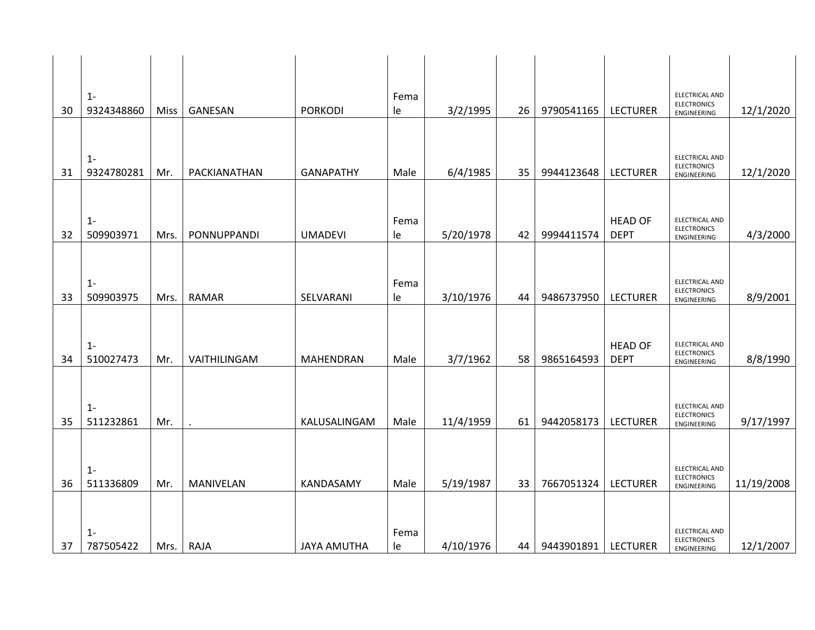| 30 | $1 -$<br>9324348860 | <b>Miss</b> | GANESAN      | <b>PORKODI</b>     | Fema<br>le | 3/2/1995  | 26 | 9790541165 | <b>LECTURER</b>               | <b>ELECTRICAL AND</b><br><b>ELECTRONICS</b><br>ENGINEERING | 12/1/2020  |
|----|---------------------|-------------|--------------|--------------------|------------|-----------|----|------------|-------------------------------|------------------------------------------------------------|------------|
|    |                     |             |              |                    |            |           |    |            |                               |                                                            |            |
| 31 | $1 -$<br>9324780281 | Mr.         | PACKIANATHAN | <b>GANAPATHY</b>   | Male       | 6/4/1985  | 35 | 9944123648 | <b>LECTURER</b>               | <b>ELECTRICAL AND</b><br><b>ELECTRONICS</b><br>ENGINEERING | 12/1/2020  |
|    |                     |             |              |                    |            |           |    |            |                               |                                                            |            |
| 32 | $1 -$<br>509903971  | Mrs.        | PONNUPPANDI  | <b>UMADEVI</b>     | Fema<br>le | 5/20/1978 | 42 | 9994411574 | <b>HEAD OF</b><br><b>DEPT</b> | ELECTRICAL AND<br><b>ELECTRONICS</b><br>ENGINEERING        | 4/3/2000   |
|    |                     |             |              |                    |            |           |    |            |                               |                                                            |            |
| 33 | $1 -$<br>509903975  | Mrs.        | <b>RAMAR</b> | SELVARANI          | Fema<br>le | 3/10/1976 | 44 | 9486737950 | <b>LECTURER</b>               | ELECTRICAL AND<br><b>ELECTRONICS</b><br>ENGINEERING        | 8/9/2001   |
|    |                     |             |              |                    |            |           |    |            |                               |                                                            |            |
| 34 | $1 -$<br>510027473  | Mr.         | VAITHILINGAM | <b>MAHENDRAN</b>   | Male       | 3/7/1962  | 58 | 9865164593 | <b>HEAD OF</b><br><b>DEPT</b> | <b>ELECTRICAL AND</b><br><b>ELECTRONICS</b><br>ENGINEERING | 8/8/1990   |
|    |                     |             |              |                    |            |           |    |            |                               |                                                            |            |
| 35 | $1 -$<br>511232861  | Mr.         |              | KALUSALINGAM       | Male       | 11/4/1959 | 61 | 9442058173 | <b>LECTURER</b>               | ELECTRICAL AND<br><b>ELECTRONICS</b><br>ENGINEERING        | 9/17/1997  |
|    |                     |             |              |                    |            |           |    |            |                               |                                                            |            |
| 36 | $1 -$<br>511336809  | Mr.         | MANIVELAN    | KANDASAMY          | Male       | 5/19/1987 | 33 | 7667051324 | <b>LECTURER</b>               | ELECTRICAL AND<br><b>ELECTRONICS</b><br>ENGINEERING        | 11/19/2008 |
|    |                     |             |              |                    |            |           |    |            |                               |                                                            |            |
| 37 | $1 -$<br>787505422  | Mrs.        | RAJA         | <b>JAYA AMUTHA</b> | Fema<br>le | 4/10/1976 | 44 | 9443901891 | <b>LECTURER</b>               | ELECTRICAL AND<br><b>ELECTRONICS</b><br>ENGINEERING        | 12/1/2007  |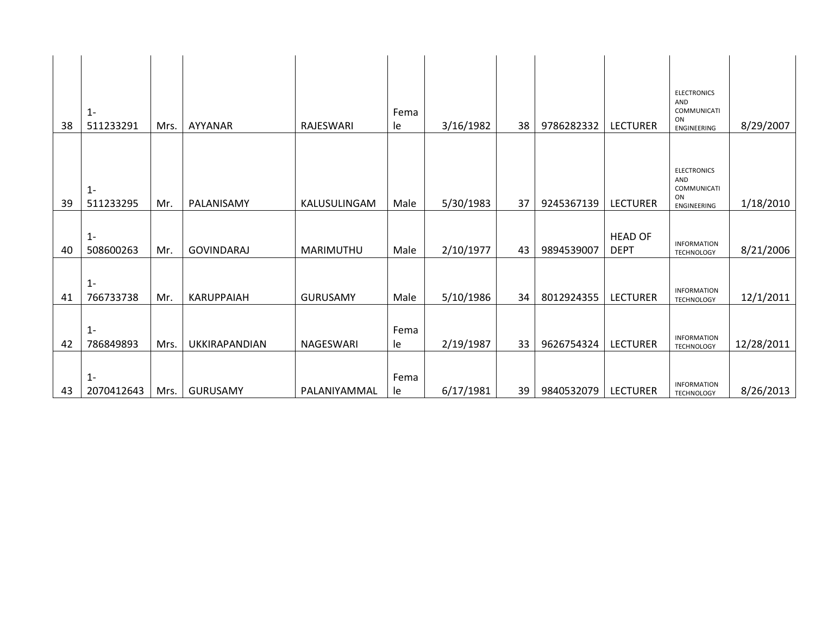|    | $1 -$               |      |                   |                 | Fema       |           |    |            |                               | <b>ELECTRONICS</b><br>AND<br>COMMUNICATI |            |
|----|---------------------|------|-------------------|-----------------|------------|-----------|----|------------|-------------------------------|------------------------------------------|------------|
| 38 | 511233291           | Mrs. | AYYANAR           | RAJESWARI       | le         | 3/16/1982 | 38 | 9786282332 | <b>LECTURER</b>               | ON<br>ENGINEERING                        | 8/29/2007  |
|    | $1 -$               |      |                   |                 |            |           |    |            |                               | <b>ELECTRONICS</b><br>AND<br>COMMUNICATI |            |
| 39 | 511233295           | Mr.  | PALANISAMY        | KALUSULINGAM    | Male       | 5/30/1983 | 37 | 9245367139 | <b>LECTURER</b>               | ON<br>ENGINEERING                        | 1/18/2010  |
| 40 | $1 -$<br>508600263  | Mr.  | <b>GOVINDARAJ</b> | MARIMUTHU       | Male       | 2/10/1977 | 43 | 9894539007 | <b>HEAD OF</b><br><b>DEPT</b> | <b>INFORMATION</b><br><b>TECHNOLOGY</b>  | 8/21/2006  |
| 41 | $1 -$<br>766733738  | Mr.  | <b>KARUPPAIAH</b> | <b>GURUSAMY</b> | Male       | 5/10/1986 | 34 | 8012924355 | <b>LECTURER</b>               | <b>INFORMATION</b><br><b>TECHNOLOGY</b>  | 12/1/2011  |
| 42 | $1 -$<br>786849893  | Mrs. | UKKIRAPANDIAN     | NAGESWARI       | Fema<br>le | 2/19/1987 | 33 | 9626754324 | <b>LECTURER</b>               | <b>INFORMATION</b><br><b>TECHNOLOGY</b>  | 12/28/2011 |
| 43 | $1 -$<br>2070412643 | Mrs. | <b>GURUSAMY</b>   | PALANIYAMMAL    | Fema<br>le | 6/17/1981 | 39 | 9840532079 | <b>LECTURER</b>               | <b>INFORMATION</b><br><b>TECHNOLOGY</b>  | 8/26/2013  |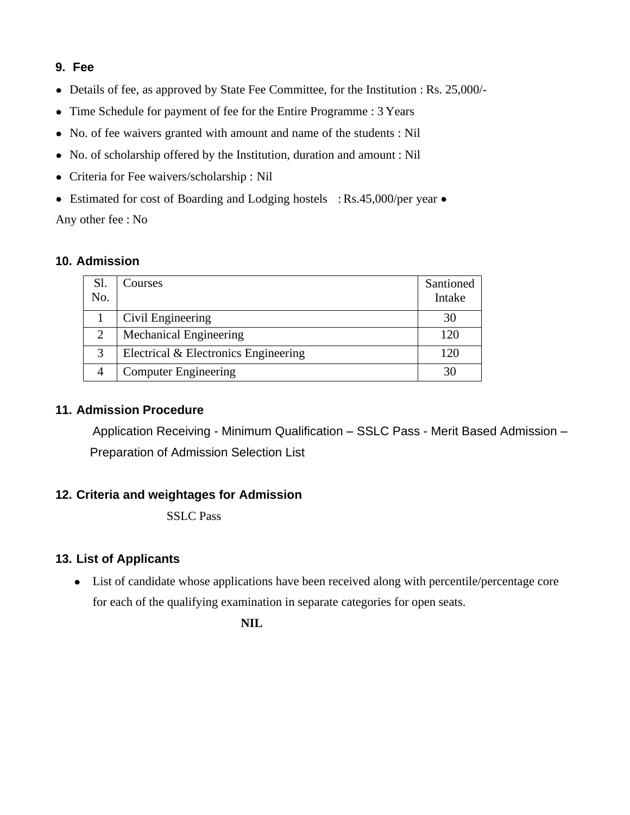## **9. Fee**

- Details of fee, as approved by State Fee Committee, for the Institution : Rs. 25,000/-
- Time Schedule for payment of fee for the Entire Programme : 3 Years
- No. of fee waivers granted with amount and name of the students : Nil
- No. of scholarship offered by the Institution, duration and amount : Nil
- Criteria for Fee waivers/scholarship : Nil
- Estimated for cost of Boarding and Lodging hostels : Rs.45,000/per year Any other fee : No

### **10. Admission**

| Sl.<br>No.     | Courses                              | Santioned<br>Intake |
|----------------|--------------------------------------|---------------------|
|                | Civil Engineering                    | 30                  |
| $\overline{2}$ | <b>Mechanical Engineering</b>        | 120                 |
| 3              | Electrical & Electronics Engineering | 120                 |
|                | <b>Computer Engineering</b>          | 30                  |

## **11. Admission Procedure**

Application Receiving - Minimum Qualification – SSLC Pass - Merit Based Admission – Preparation of Admission Selection List

## **12. Criteria and weightages for Admission**

SSLC Pass

## **13. List of Applicants**

• List of candidate whose applications have been received along with percentile/percentage core for each of the qualifying examination in separate categories for open seats.

**NIL**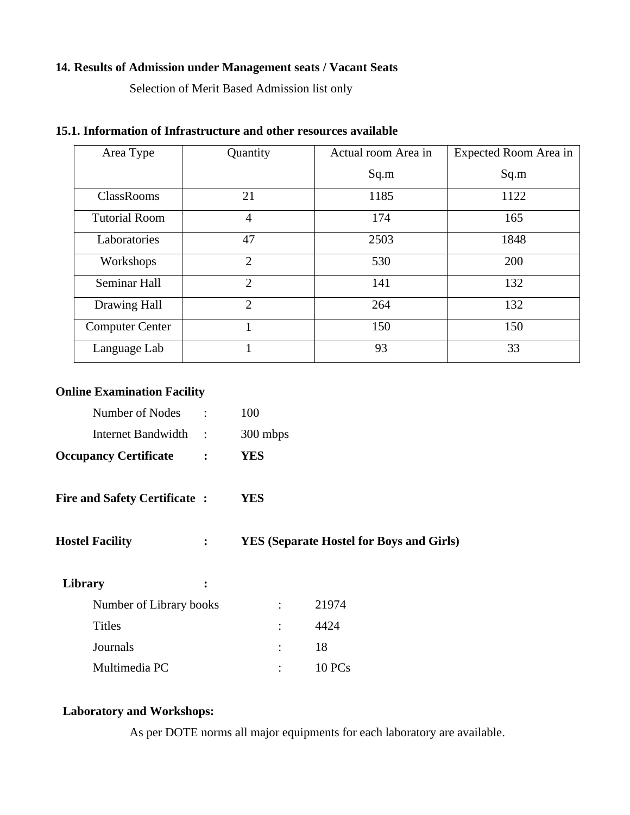#### **14. Results of Admission under Management seats / Vacant Seats**

Selection of Merit Based Admission list only

| Area Type              | Quantity       | Actual room Area in | Expected Room Area in |  |
|------------------------|----------------|---------------------|-----------------------|--|
|                        |                | Sq.m                | Sq.m                  |  |
| <b>ClassRooms</b>      | 21             | 1185                | 1122                  |  |
| <b>Tutorial Room</b>   | $\overline{4}$ | 174                 | 165                   |  |
| Laboratories           | 47             | 2503                | 1848                  |  |
| Workshops              | $\overline{2}$ | 530                 | 200                   |  |
| Seminar Hall           | $\overline{2}$ | 141                 | 132                   |  |
| Drawing Hall           | $\overline{2}$ | 264                 | 132                   |  |
| <b>Computer Center</b> | 1              | 150                 | 150                   |  |
| Language Lab           |                | 93                  | 33                    |  |

## **15.1. Information of Infrastructure and other resources available**

## **Online Examination Facility**

| <b>Occupancy Certificate</b> | <b>YES</b> |
|------------------------------|------------|
| Internet Bandwidth           | 300 mbps   |
| Number of Nodes              | 100        |

- **Fire and Safety Certificate : YES**
- **Hostel Facility : YES (Separate Hostel for Boys and Girls)**

| Library       |                         |       |
|---------------|-------------------------|-------|
|               | Number of Library books | 21974 |
| <b>Titles</b> |                         | 4424  |
| Journals      |                         | 18    |
| Multimedia PC |                         | 10PCs |

## **Laboratory and Workshops:**

As per DOTE norms all major equipments for each laboratory are available.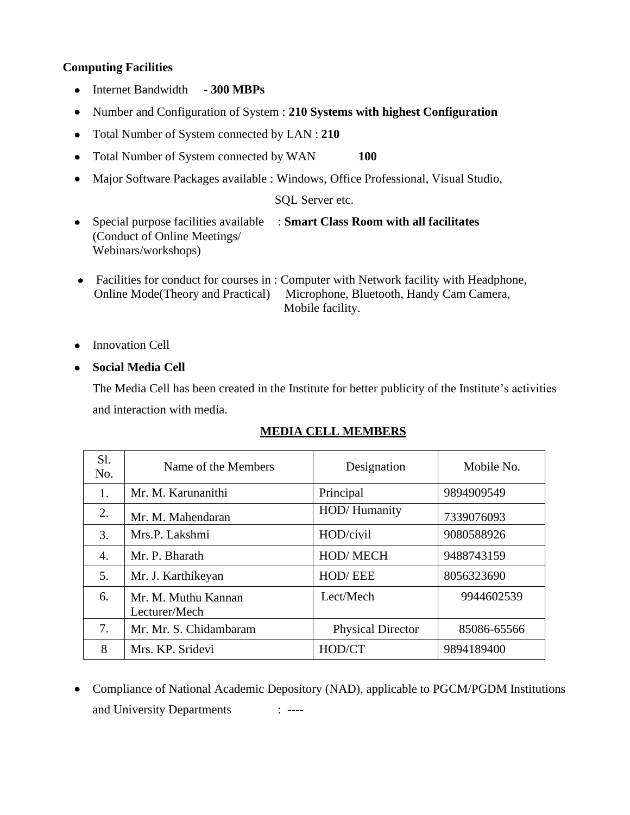#### **Computing Facilities**

- Internet Bandwidth 300 MBPs
- Number and Configuration of System : **210 Systems with highest Configuration**  $\bullet$
- Total Number of System connected by LAN : **210**
- Total Number of System connected by WAN **100**  $\bullet$
- Major Software Packages available : Windows, Office Professional, Visual Studio,  $\bullet$

SQL Server etc.

- Special purpose facilities available : **Smart Class Room with all facilitates** (Conduct of Online Meetings/ Webinars/workshops)
- Facilities for conduct for courses in : Computer with Network facility with Headphone, Online Mode(Theory and Practical) Microphone, Bluetooth, Handy Cam Camera, Mobile facility.
- Innovation Cell

**Social Media Cell**

The Media Cell has been created in the Institute for better publicity of the Institute's activities and interaction with media.

| S1.<br>No. | Name of the Members                  | Designation              | Mobile No.  |
|------------|--------------------------------------|--------------------------|-------------|
| 1.         | Mr. M. Karunanithi                   | Principal                | 9894909549  |
| 2.         | Mr. M. Mahendaran                    | HOD/Humanity             | 7339076093  |
| 3.         | Mrs.P. Lakshmi                       | HOD/civil                | 9080588926  |
| 4.         | Mr. P. Bharath                       | HOD/MECH                 | 9488743159  |
| 5.         | Mr. J. Karthikeyan                   | HOD/EEE                  | 8056323690  |
| 6.         | Mr. M. Muthu Kannan<br>Lecturer/Mech | Lect/Mech                | 9944602539  |
| 7.         | Mr. Mr. S. Chidambaram               | <b>Physical Director</b> | 85086-65566 |
| 8          | Mrs. KP. Sridevi                     | HOD/CT                   | 9894189400  |

#### **MEDIA CELL MEMBERS**

 Compliance of National Academic Depository (NAD), applicable to PGCM/PGDM Institutions and University Departments : ----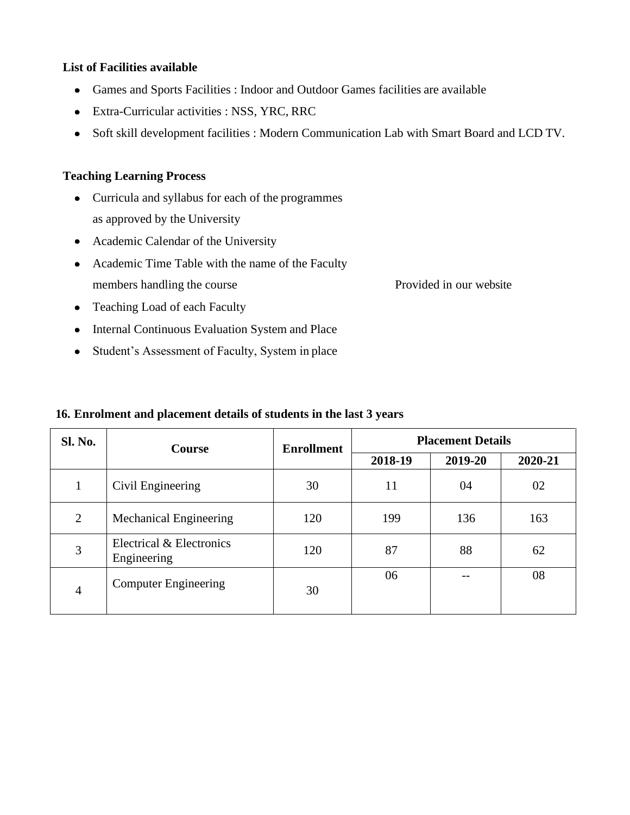#### **List of Facilities available**

- Games and Sports Facilities : Indoor and Outdoor Games facilities are available
- Extra-Curricular activities : NSS, YRC, RRC
- Soft skill development facilities : Modern Communication Lab with Smart Board and LCD TV.

## **Teaching Learning Process**

- Curricula and syllabus for each of the programmes as approved by the University
- Academic Calendar of the University
- Academic Time Table with the name of the Faculty members handling the course Provided in our website
- Teaching Load of each Faculty
- Internal Continuous Evaluation System and Place
- Student's Assessment of Faculty, System in place

| <b>Sl. No.</b> | <b>Course</b>                           | <b>Enrollment</b> | <b>Placement Details</b> |         |         |
|----------------|-----------------------------------------|-------------------|--------------------------|---------|---------|
|                |                                         |                   | 2018-19                  | 2019-20 | 2020-21 |
| 1              | Civil Engineering                       | 30                | 11                       | 04      | 02      |
| 2              | <b>Mechanical Engineering</b>           | 120               | 199                      | 136     | 163     |
| 3              | Electrical & Electronics<br>Engineering | 120               | 87                       | 88      | 62      |
| 4              | <b>Computer Engineering</b>             | 30                | 06                       |         | 08      |

#### **16. Enrolment and placement details of students in the last 3 years**